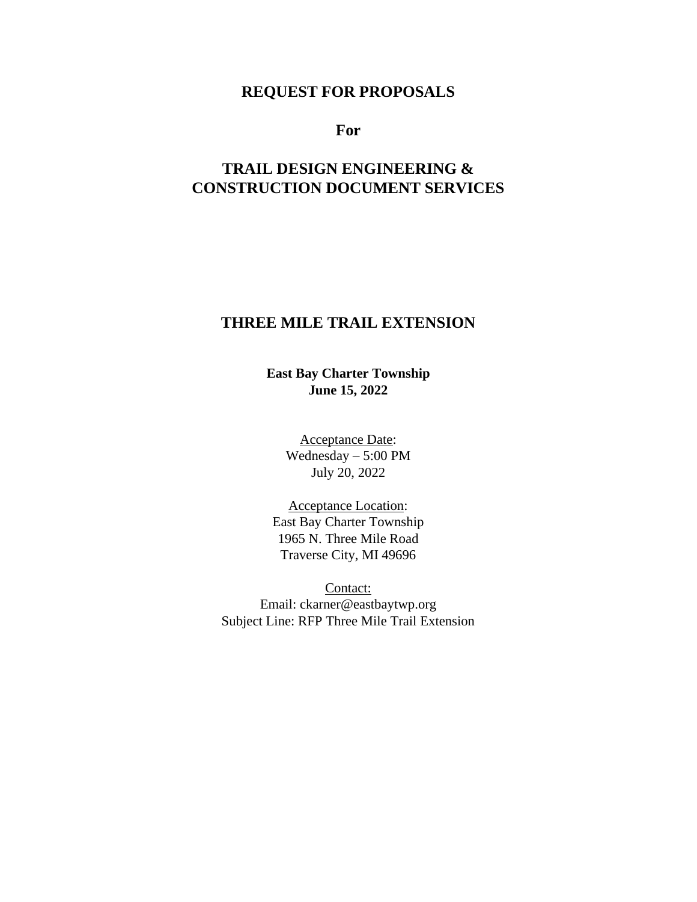# **REQUEST FOR PROPOSALS**

**For**

# **TRAIL DESIGN ENGINEERING & CONSTRUCTION DOCUMENT SERVICES**

## **THREE MILE TRAIL EXTENSION**

**East Bay Charter Township June 15, 2022**

> Acceptance Date: Wednesday – 5:00 PM July 20, 2022

Acceptance Location: East Bay Charter Township 1965 N. Three Mile Road Traverse City, MI 49696

Contact: Email: ckarner@eastbaytwp.org Subject Line: RFP Three Mile Trail Extension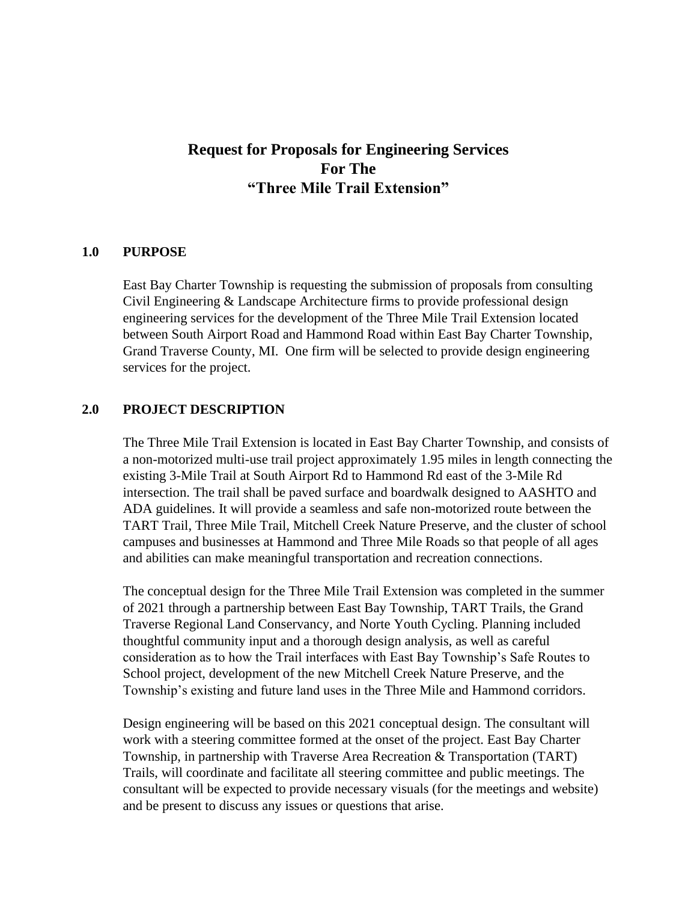## **Request for Proposals for Engineering Services For The "Three Mile Trail Extension"**

#### **1.0 PURPOSE**

East Bay Charter Township is requesting the submission of proposals from consulting Civil Engineering & Landscape Architecture firms to provide professional design engineering services for the development of the Three Mile Trail Extension located between South Airport Road and Hammond Road within East Bay Charter Township, Grand Traverse County, MI. One firm will be selected to provide design engineering services for the project.

#### **2.0 PROJECT DESCRIPTION**

The Three Mile Trail Extension is located in East Bay Charter Township, and consists of a non-motorized multi-use trail project approximately 1.95 miles in length connecting the existing 3-Mile Trail at South Airport Rd to Hammond Rd east of the 3-Mile Rd intersection. The trail shall be paved surface and boardwalk designed to AASHTO and ADA guidelines. It will provide a seamless and safe non-motorized route between the TART Trail, Three Mile Trail, Mitchell Creek Nature Preserve, and the cluster of school campuses and businesses at Hammond and Three Mile Roads so that people of all ages and abilities can make meaningful transportation and recreation connections.

The conceptual design for the Three Mile Trail Extension was completed in the summer of 2021 through a partnership between East Bay Township, TART Trails, the Grand Traverse Regional Land Conservancy, and Norte Youth Cycling. Planning included thoughtful community input and a thorough design analysis, as well as careful consideration as to how the Trail interfaces with East Bay Township's Safe Routes to School project, development of the new Mitchell Creek Nature Preserve, and the Township's existing and future land uses in the Three Mile and Hammond corridors.

Design engineering will be based on this 2021 conceptual design. The consultant will work with a steering committee formed at the onset of the project. East Bay Charter Township, in partnership with Traverse Area Recreation & Transportation (TART) Trails, will coordinate and facilitate all steering committee and public meetings. The consultant will be expected to provide necessary visuals (for the meetings and website) and be present to discuss any issues or questions that arise.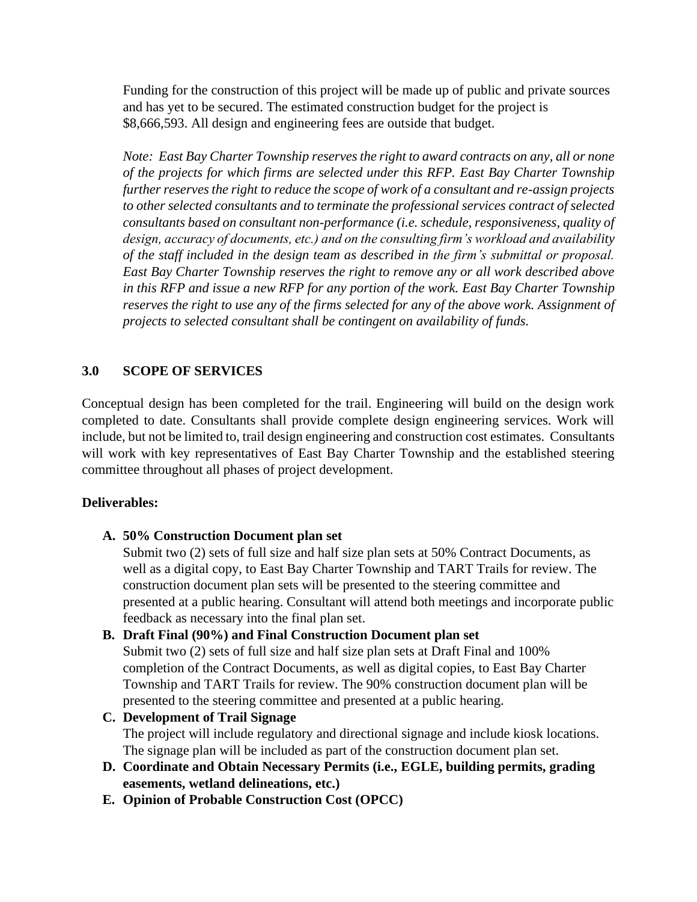Funding for the construction of this project will be made up of public and private sources and has yet to be secured. The estimated construction budget for the project is \$8,666,593. All design and engineering fees are outside that budget.

*Note: East Bay Charter Township reserves the right to award contracts on any, all or none of the projects for which firms are selected under this RFP. East Bay Charter Township further reserves the right to reduce the scope of work of a consultant and re-assign projects to other selected consultants and to terminate the professional services contract of selected consultants based on consultant non-performance (i.e. schedule, responsiveness, quality of design, accuracy of documents, etc.) and on the consulting firm's workload and availability of the staff included in the design team as described in the firm's submittal or proposal. East Bay Charter Township reserves the right to remove any or all work described above in this RFP and issue a new RFP for any portion of the work. East Bay Charter Township*  reserves the right to use any of the firms selected for any of the above work. Assignment of *projects to selected consultant shall be contingent on availability of funds.*

## **3.0 SCOPE OF SERVICES**

Conceptual design has been completed for the trail. Engineering will build on the design work completed to date. Consultants shall provide complete design engineering services. Work will include, but not be limited to, trail design engineering and construction cost estimates. Consultants will work with key representatives of East Bay Charter Township and the established steering committee throughout all phases of project development.

### **Deliverables:**

### **A. 50% Construction Document plan set**

Submit two (2) sets of full size and half size plan sets at 50% Contract Documents, as well as a digital copy, to East Bay Charter Township and TART Trails for review. The construction document plan sets will be presented to the steering committee and presented at a public hearing. Consultant will attend both meetings and incorporate public feedback as necessary into the final plan set.

#### **B. Draft Final (90%) and Final Construction Document plan set**

Submit two (2) sets of full size and half size plan sets at Draft Final and 100% completion of the Contract Documents, as well as digital copies, to East Bay Charter Township and TART Trails for review. The 90% construction document plan will be presented to the steering committee and presented at a public hearing.

### **C. Development of Trail Signage** The project will include regulatory and directional signage and include kiosk locations. The signage plan will be included as part of the construction document plan set.

- **D. Coordinate and Obtain Necessary Permits (i.e., EGLE, building permits, grading easements, wetland delineations, etc.)**
- **E. Opinion of Probable Construction Cost (OPCC)**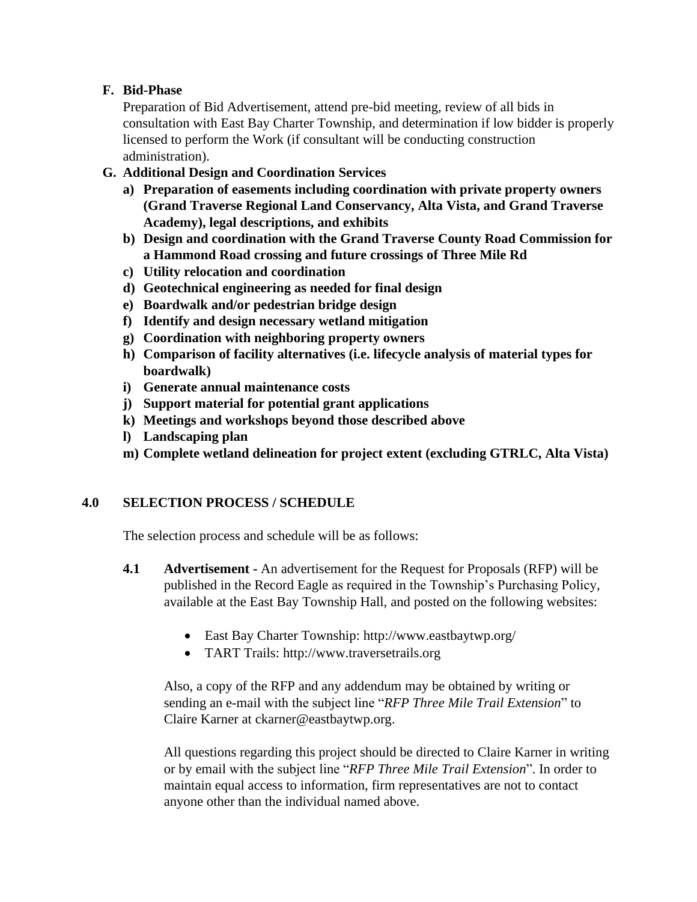## **F. Bid-Phase**

Preparation of Bid Advertisement, attend pre-bid meeting, review of all bids in consultation with East Bay Charter Township, and determination if low bidder is properly licensed to perform the Work (if consultant will be conducting construction administration).

- **G. Additional Design and Coordination Services**
	- **a) Preparation of easements including coordination with private property owners (Grand Traverse Regional Land Conservancy, Alta Vista, and Grand Traverse Academy), legal descriptions, and exhibits**
	- **b) Design and coordination with the Grand Traverse County Road Commission for a Hammond Road crossing and future crossings of Three Mile Rd**
	- **c) Utility relocation and coordination**
	- **d) Geotechnical engineering as needed for final design**
	- **e) Boardwalk and/or pedestrian bridge design**
	- **f) Identify and design necessary wetland mitigation**
	- **g) Coordination with neighboring property owners**
	- **h) Comparison of facility alternatives (i.e. lifecycle analysis of material types for boardwalk)**
	- **i) Generate annual maintenance costs**
	- **j) Support material for potential grant applications**
	- **k) Meetings and workshops beyond those described above**
	- **l) Landscaping plan**
	- **m) Complete wetland delineation for project extent (excluding GTRLC, Alta Vista)**

### **4.0 SELECTION PROCESS / SCHEDULE**

The selection process and schedule will be as follows:

- **4.1 Advertisement -** An advertisement for the Request for Proposals (RFP) will be published in the Record Eagle as required in the Township's Purchasing Policy, available at the East Bay Township Hall, and posted on the following websites:
	- East Bay Charter Township: http://www.eastbaytwp.org/
	- TART Trails: http://www.traversetrails.org

Also, a copy of the RFP and any addendum may be obtained by writing or sending an e-mail with the subject line "*RFP Three Mile Trail Extension*" to Claire Karner at ckarner@eastbaytwp.org.

All questions regarding this project should be directed to Claire Karner in writing or by email with the subject line "*RFP Three Mile Trail Extension*". In order to maintain equal access to information, firm representatives are not to contact anyone other than the individual named above.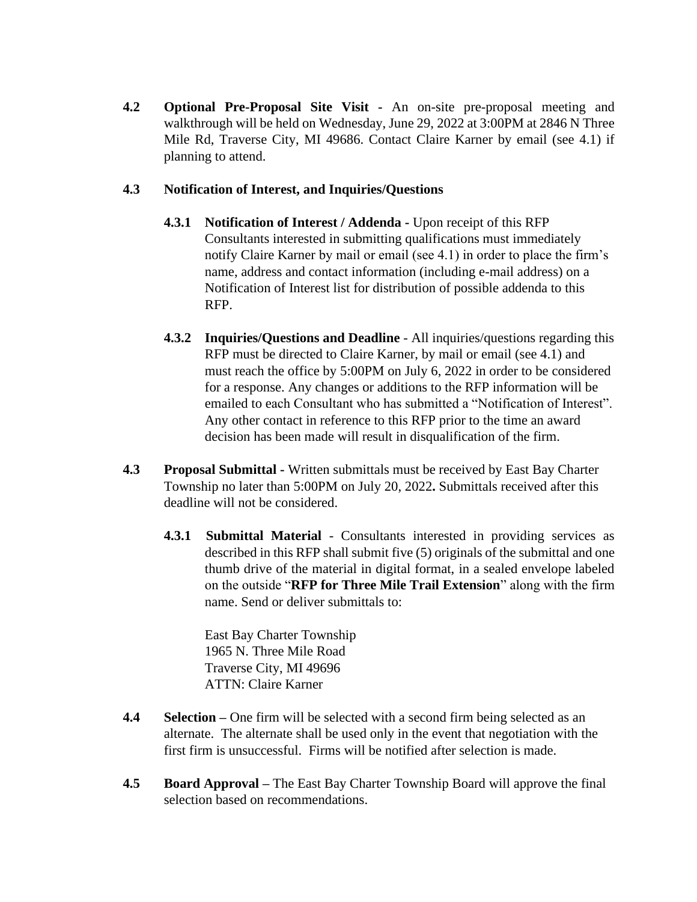**4.2 Optional Pre-Proposal Site Visit -** An on-site pre-proposal meeting and walkthrough will be held on Wednesday, June 29, 2022 at 3:00PM at 2846 N Three Mile Rd, Traverse City, MI 49686. Contact Claire Karner by email (see 4.1) if planning to attend.

#### **4.3 Notification of Interest, and Inquiries/Questions**

- **4.3.1 Notification of Interest / Addenda -** Upon receipt of this RFP Consultants interested in submitting qualifications must immediately notify Claire Karner by mail or email (see 4.1) in order to place the firm's name, address and contact information (including e-mail address) on a Notification of Interest list for distribution of possible addenda to this RFP.
- **4.3.2 Inquiries/Questions and Deadline** All inquiries/questions regarding this RFP must be directed to Claire Karner, by mail or email (see 4.1) and must reach the office by 5:00PM on July 6, 2022 in order to be considered for a response. Any changes or additions to the RFP information will be emailed to each Consultant who has submitted a "Notification of Interest". Any other contact in reference to this RFP prior to the time an award decision has been made will result in disqualification of the firm.
- **4.3 Proposal Submittal -** Written submittals must be received by East Bay Charter Township no later than 5:00PM on July 20, 2022**.** Submittals received after this deadline will not be considered.
	- **4.3.1 Submittal Material**  Consultants interested in providing services as described in this RFP shall submit five (5) originals of the submittal and one thumb drive of the material in digital format, in a sealed envelope labeled on the outside "**RFP for Three Mile Trail Extension**" along with the firm name. Send or deliver submittals to:

East Bay Charter Township 1965 N. Three Mile Road Traverse City, MI 49696 ATTN: Claire Karner

- **4.4 Selection –** One firm will be selected with a second firm being selected as an alternate. The alternate shall be used only in the event that negotiation with the first firm is unsuccessful. Firms will be notified after selection is made.
- **4.5 Board Approval –** The East Bay Charter Township Board will approve the final selection based on recommendations.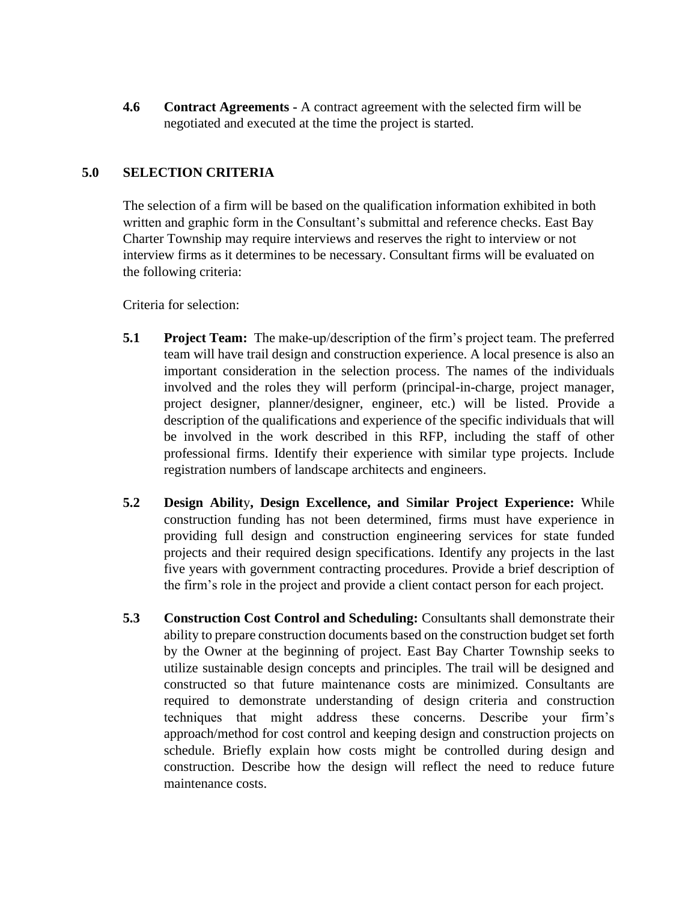**4.6 Contract Agreements -** A contract agreement with the selected firm will be negotiated and executed at the time the project is started.

#### **5.0 SELECTION CRITERIA**

The selection of a firm will be based on the qualification information exhibited in both written and graphic form in the Consultant's submittal and reference checks. East Bay Charter Township may require interviews and reserves the right to interview or not interview firms as it determines to be necessary. Consultant firms will be evaluated on the following criteria:

Criteria for selection:

- **5.1 Project Team:** The make-up/description of the firm's project team. The preferred team will have trail design and construction experience. A local presence is also an important consideration in the selection process. The names of the individuals involved and the roles they will perform (principal-in-charge, project manager, project designer, planner/designer, engineer, etc.) will be listed. Provide a description of the qualifications and experience of the specific individuals that will be involved in the work described in this RFP, including the staff of other professional firms. Identify their experience with similar type projects. Include registration numbers of landscape architects and engineers.
- **5.2 Design Abilit**y**, Design Excellence, and** S**imilar Project Experience:** While construction funding has not been determined, firms must have experience in providing full design and construction engineering services for state funded projects and their required design specifications. Identify any projects in the last five years with government contracting procedures. Provide a brief description of the firm's role in the project and provide a client contact person for each project.
- **5.3 Construction Cost Control and Scheduling:** Consultants shall demonstrate their ability to prepare construction documents based on the construction budget set forth by the Owner at the beginning of project. East Bay Charter Township seeks to utilize sustainable design concepts and principles. The trail will be designed and constructed so that future maintenance costs are minimized. Consultants are required to demonstrate understanding of design criteria and construction techniques that might address these concerns. Describe your firm's approach/method for cost control and keeping design and construction projects on schedule. Briefly explain how costs might be controlled during design and construction. Describe how the design will reflect the need to reduce future maintenance costs.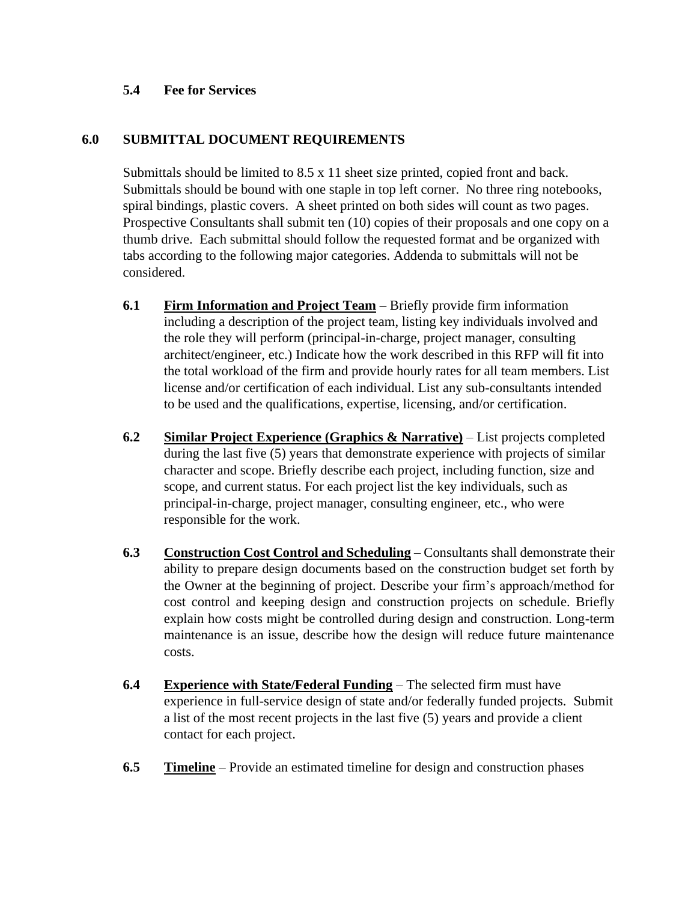#### **5.4 Fee for Services**

#### **6.0 SUBMITTAL DOCUMENT REQUIREMENTS**

Submittals should be limited to 8.5 x 11 sheet size printed, copied front and back. Submittals should be bound with one staple in top left corner. No three ring notebooks, spiral bindings, plastic covers. A sheet printed on both sides will count as two pages. Prospective Consultants shall submit ten (10) copies of their proposals and one copy on a thumb drive. Each submittal should follow the requested format and be organized with tabs according to the following major categories. Addenda to submittals will not be considered.

- **6.1 Firm Information and Project Team** Briefly provide firm information including a description of the project team, listing key individuals involved and the role they will perform (principal-in-charge, project manager, consulting architect/engineer, etc.) Indicate how the work described in this RFP will fit into the total workload of the firm and provide hourly rates for all team members. List license and/or certification of each individual. List any sub-consultants intended to be used and the qualifications, expertise, licensing, and/or certification.
- **6.2 Similar Project Experience (Graphics & Narrative)** List projects completed during the last five (5) years that demonstrate experience with projects of similar character and scope. Briefly describe each project, including function, size and scope, and current status. For each project list the key individuals, such as principal-in-charge, project manager, consulting engineer, etc., who were responsible for the work.
- **6.3 Construction Cost Control and Scheduling** Consultants shall demonstrate their ability to prepare design documents based on the construction budget set forth by the Owner at the beginning of project. Describe your firm's approach/method for cost control and keeping design and construction projects on schedule. Briefly explain how costs might be controlled during design and construction. Long-term maintenance is an issue, describe how the design will reduce future maintenance costs.
- **6.4 Experience with State/Federal Funding** The selected firm must have experience in full-service design of state and/or federally funded projects. Submit a list of the most recent projects in the last five (5) years and provide a client contact for each project.
- **6.5 Timeline** Provide an estimated timeline for design and construction phases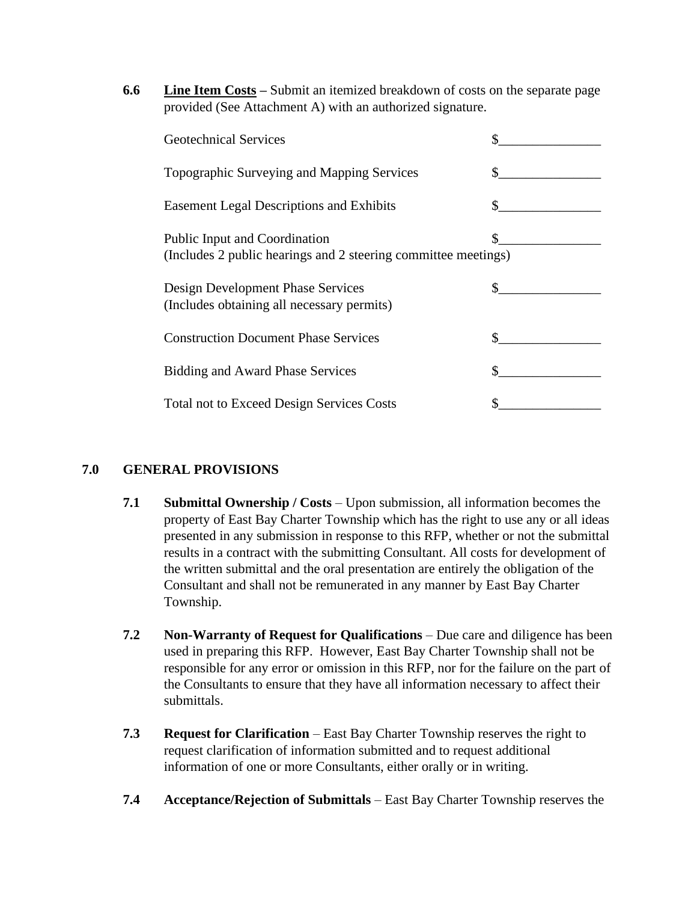**6.6 Line Item Costs –** Submit an itemized breakdown of costs on the separate page provided (See Attachment A) with an authorized signature.

| <b>Geotechnical Services</b>                                                                    |     |
|-------------------------------------------------------------------------------------------------|-----|
| Topographic Surveying and Mapping Services                                                      | \$. |
| <b>Easement Legal Descriptions and Exhibits</b>                                                 | \$  |
| Public Input and Coordination<br>(Includes 2 public hearings and 2 steering committee meetings) | \$  |
| Design Development Phase Services<br>(Includes obtaining all necessary permits)                 |     |
| <b>Construction Document Phase Services</b>                                                     |     |
| <b>Bidding and Award Phase Services</b>                                                         |     |
| <b>Total not to Exceed Design Services Costs</b>                                                |     |

### **7.0 GENERAL PROVISIONS**

- **7.1 Submittal Ownership / Costs** Upon submission, all information becomes the property of East Bay Charter Township which has the right to use any or all ideas presented in any submission in response to this RFP, whether or not the submittal results in a contract with the submitting Consultant. All costs for development of the written submittal and the oral presentation are entirely the obligation of the Consultant and shall not be remunerated in any manner by East Bay Charter Township.
- **7.2 Non-Warranty of Request for Qualifications** Due care and diligence has been used in preparing this RFP. However, East Bay Charter Township shall not be responsible for any error or omission in this RFP, nor for the failure on the part of the Consultants to ensure that they have all information necessary to affect their submittals.
- **7.3 Request for Clarification** East Bay Charter Township reserves the right to request clarification of information submitted and to request additional information of one or more Consultants, either orally or in writing.
- **7.4 Acceptance/Rejection of Submittals** East Bay Charter Township reserves the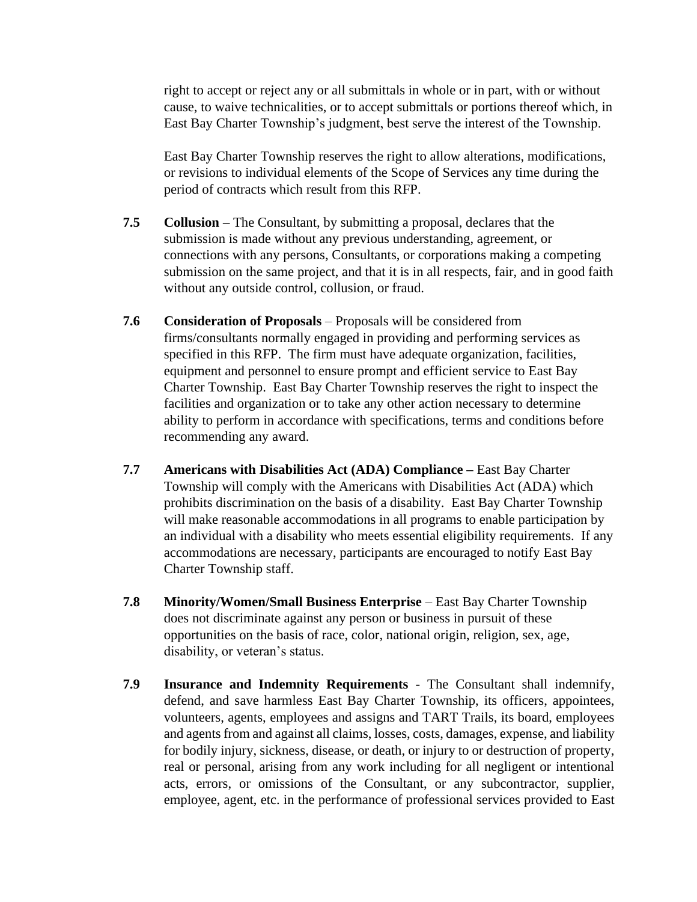right to accept or reject any or all submittals in whole or in part, with or without cause, to waive technicalities, or to accept submittals or portions thereof which, in East Bay Charter Township's judgment, best serve the interest of the Township.

East Bay Charter Township reserves the right to allow alterations, modifications, or revisions to individual elements of the Scope of Services any time during the period of contracts which result from this RFP.

- **7.5 Collusion** The Consultant, by submitting a proposal, declares that the submission is made without any previous understanding, agreement, or connections with any persons, Consultants, or corporations making a competing submission on the same project, and that it is in all respects, fair, and in good faith without any outside control, collusion, or fraud.
- **7.6 Consideration of Proposals** Proposals will be considered from firms/consultants normally engaged in providing and performing services as specified in this RFP. The firm must have adequate organization, facilities, equipment and personnel to ensure prompt and efficient service to East Bay Charter Township. East Bay Charter Township reserves the right to inspect the facilities and organization or to take any other action necessary to determine ability to perform in accordance with specifications, terms and conditions before recommending any award.
- **7.7 Americans with Disabilities Act (ADA) Compliance –** East Bay Charter Township will comply with the Americans with Disabilities Act (ADA) which prohibits discrimination on the basis of a disability. East Bay Charter Township will make reasonable accommodations in all programs to enable participation by an individual with a disability who meets essential eligibility requirements. If any accommodations are necessary, participants are encouraged to notify East Bay Charter Township staff.
- **7.8 Minority/Women/Small Business Enterprise** East Bay Charter Township does not discriminate against any person or business in pursuit of these opportunities on the basis of race, color, national origin, religion, sex, age, disability, or veteran's status.
- **7.9 Insurance and Indemnity Requirements** The Consultant shall indemnify, defend, and save harmless East Bay Charter Township, its officers, appointees, volunteers, agents, employees and assigns and TART Trails, its board, employees and agents from and against all claims, losses, costs, damages, expense, and liability for bodily injury, sickness, disease, or death, or injury to or destruction of property, real or personal, arising from any work including for all negligent or intentional acts, errors, or omissions of the Consultant, or any subcontractor, supplier, employee, agent, etc. in the performance of professional services provided to East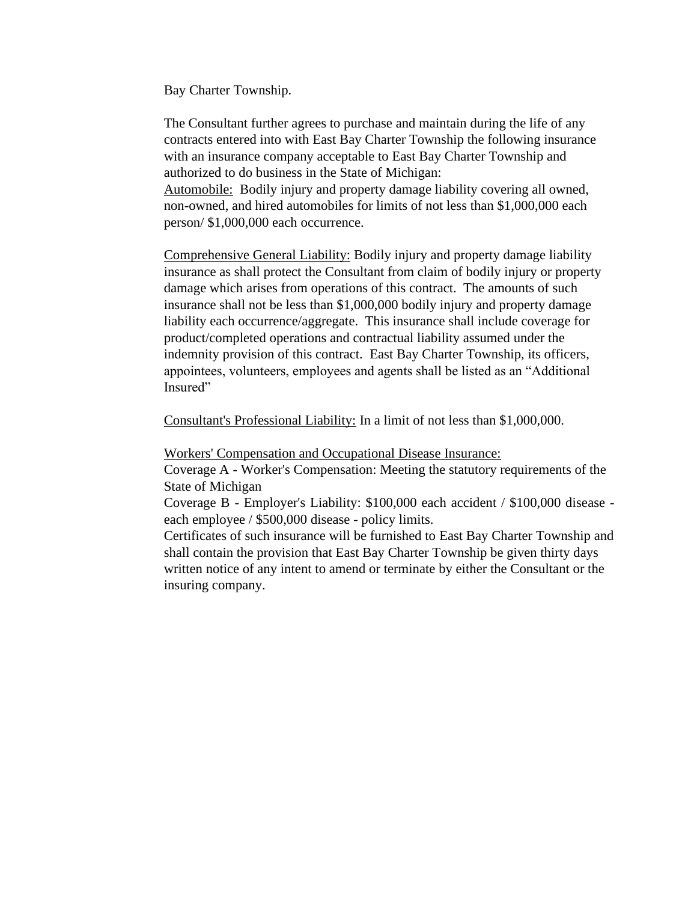Bay Charter Township.

The Consultant further agrees to purchase and maintain during the life of any contracts entered into with East Bay Charter Township the following insurance with an insurance company acceptable to East Bay Charter Township and authorized to do business in the State of Michigan:

Automobile: Bodily injury and property damage liability covering all owned, non-owned, and hired automobiles for limits of not less than \$1,000,000 each person/ \$1,000,000 each occurrence.

Comprehensive General Liability: Bodily injury and property damage liability insurance as shall protect the Consultant from claim of bodily injury or property damage which arises from operations of this contract. The amounts of such insurance shall not be less than \$1,000,000 bodily injury and property damage liability each occurrence/aggregate. This insurance shall include coverage for product/completed operations and contractual liability assumed under the indemnity provision of this contract. East Bay Charter Township, its officers, appointees, volunteers, employees and agents shall be listed as an "Additional Insured"

Consultant's Professional Liability: In a limit of not less than \$1,000,000.

Workers' Compensation and Occupational Disease Insurance:

Coverage A - Worker's Compensation: Meeting the statutory requirements of the State of Michigan

Coverage B - Employer's Liability: \$100,000 each accident / \$100,000 disease each employee / \$500,000 disease - policy limits.

Certificates of such insurance will be furnished to East Bay Charter Township and shall contain the provision that East Bay Charter Township be given thirty days written notice of any intent to amend or terminate by either the Consultant or the insuring company.